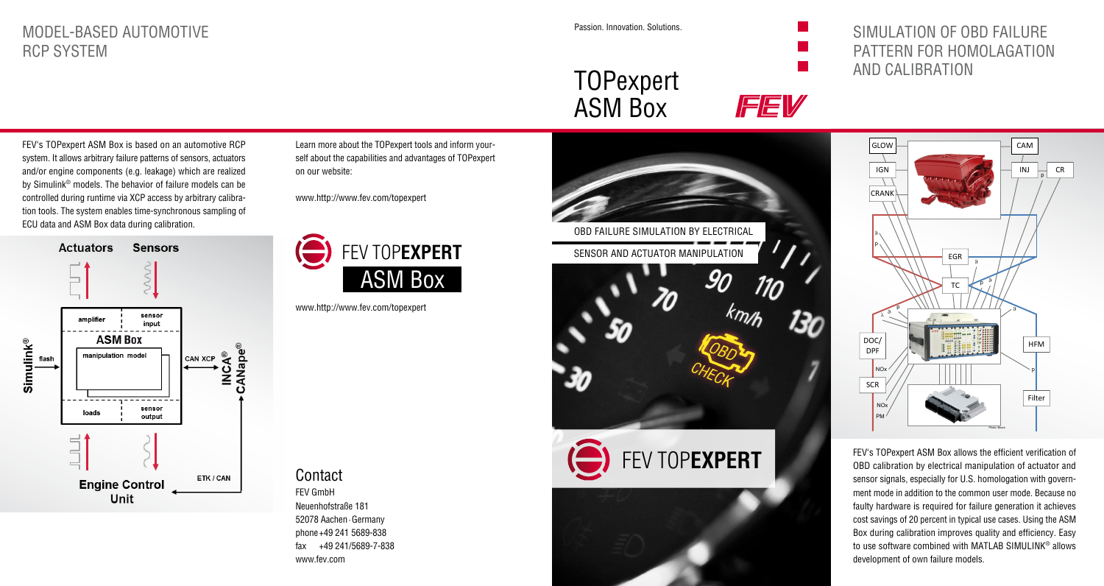## MODEL-BASED AUTOMOTIVE RCP SYSTEM

Passion. Innovation. Solutions.

TOPexpert

# SIMULATION OF OBD FAILURE PATTERN FOR HOMOLAGATION AND CALIBRATION

FEV's TOPexpert ASM Box is based on an automotive RCP system. It allows arbitrary failure patterns of sensors, actuators and/or engine components (e.g. leakage) which are realized by Simulink® models. The behavior of failure models can be controlled during runtime via XCP access by arbitrary calibration tools. The system enables time-synchronous sampling of ECU data and ASM Box data during calibration.



Learn more about the TOPexpert tools and inform yourself about the capabilities and advantages of TOPexpert on our website:

www.http://www.fev.com/topexpert



www.http://www.fev.com/topexpert

**Contact** 

FEV GmbH Neuenhofstraße 181 52078 Aachen∙Germany phone+49 241 5689-838 fax +49 241/5689-7-838 www.fev.com





FEV's TOPexpert ASM Box allows the efficient verification of OBD calibration by electrical manipulation of actuator and sensor signals, especially for U.S. homologation with government mode in addition to the common user mode. Because no faulty hardware is required for failure generation it achieves cost savings of 20 percent in typical use cases. Using the ASM Box during calibration improves quality and efficiency. Easy to use software combined with MATLAB SIMULINK® allows development of own failure models.